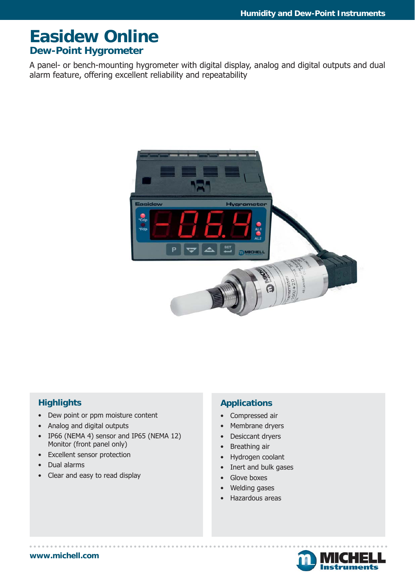# **Easidew Online Dew-Point Hygrometer**

A panel- or bench-mounting hygrometer with digital display, analog and digital outputs and dual alarm feature, offering excellent reliability and repeatability



# **Highlights**

- Dew point or ppm moisture content
- Analog and digital outputs
- IP66 (NEMA 4) sensor and IP65 (NEMA 12) Monitor (front panel only)
- Excellent sensor protection
- Dual alarms
- Clear and easy to read display

# **Applications**

- Compressed air
- Membrane dryers
- Desiccant dryers
- Breathing air
- Hydrogen coolant
- Inert and bulk gases
- Glove boxes
- Welding gases
- Hazardous areas